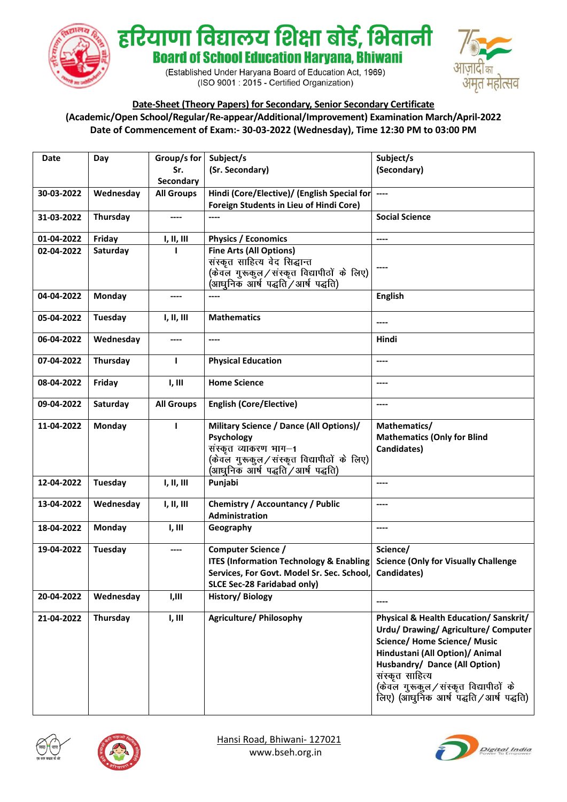

हरियाणा विद्यालय शिक्षा बोर्ड, भिवानी **Board of School Education Harvana, Bhiwani** 

> (Established Under Haryana Board of Education Act, 1969) (ISO 9001 : 2015 - Certified Organization)



**Date-Sheet (Theory Papers) for Secondary, Senior Secondary Certificate (Academic/Open School/Regular/Re-appear/Additional/Improvement) Examination March/April-2022 Date of Commencement of Exam:- 30-03-2022 (Wednesday), Time 12:30 PM to 03:00 PM**

| Date       | Day           | Group/s for       | Subject/s                                                                                                                                                         | Subject/s                                                                                                                                                                                                                                                                                        |
|------------|---------------|-------------------|-------------------------------------------------------------------------------------------------------------------------------------------------------------------|--------------------------------------------------------------------------------------------------------------------------------------------------------------------------------------------------------------------------------------------------------------------------------------------------|
|            |               | Sr.               | (Sr. Secondary)                                                                                                                                                   | (Secondary)                                                                                                                                                                                                                                                                                      |
|            |               | Secondary         |                                                                                                                                                                   |                                                                                                                                                                                                                                                                                                  |
| 30-03-2022 | Wednesday     | <b>All Groups</b> | Hindi (Core/Elective)/ (English Special for ----                                                                                                                  |                                                                                                                                                                                                                                                                                                  |
|            |               |                   | Foreign Students in Lieu of Hindi Core)                                                                                                                           |                                                                                                                                                                                                                                                                                                  |
| 31-03-2022 | Thursday      | ----              | ----                                                                                                                                                              | <b>Social Science</b>                                                                                                                                                                                                                                                                            |
| 01-04-2022 | Friday        | I, II, III        | <b>Physics / Economics</b>                                                                                                                                        | ----                                                                                                                                                                                                                                                                                             |
| 02-04-2022 | Saturday      |                   | <b>Fine Arts (All Options)</b><br>संस्कृत साहित्य वेद सिद्धान्त<br>(केवल गुरूकुल/संस्कृत विद्यापीठों के लिए)<br>(आधुनिक आर्ष पद्धति / आर्ष पद्धति)                | $---$                                                                                                                                                                                                                                                                                            |
| 04-04-2022 | Monday        | ----              | ----                                                                                                                                                              | <b>English</b>                                                                                                                                                                                                                                                                                   |
| 05-04-2022 | Tuesday       | I, II, III        | <b>Mathematics</b>                                                                                                                                                |                                                                                                                                                                                                                                                                                                  |
| 06-04-2022 | Wednesday     | ----              | ----                                                                                                                                                              | Hindi                                                                                                                                                                                                                                                                                            |
| 07-04-2022 | Thursday      | L                 | <b>Physical Education</b>                                                                                                                                         | ----                                                                                                                                                                                                                                                                                             |
| 08-04-2022 | Friday        | I, III            | <b>Home Science</b>                                                                                                                                               | ----                                                                                                                                                                                                                                                                                             |
| 09-04-2022 | Saturday      | <b>All Groups</b> | <b>English (Core/Elective)</b>                                                                                                                                    | ----                                                                                                                                                                                                                                                                                             |
| 11-04-2022 | <b>Monday</b> | т                 | Military Science / Dance (All Options)/<br>Psychology<br>संस्कृत व्याकरण भाग-1<br>(केवल गुरूकुल/संस्कृत विद्यापीठों के लिए)<br>(आधुनिक आर्ष पद्धति / आर्ष पद्धति) | Mathematics/<br><b>Mathematics (Only for Blind</b><br>Candidates)                                                                                                                                                                                                                                |
| 12-04-2022 | Tuesday       | I, II, III        | Punjabi                                                                                                                                                           | ----                                                                                                                                                                                                                                                                                             |
| 13-04-2022 | Wednesday     | I, II, III        | <b>Chemistry / Accountancy / Public</b><br>Administration                                                                                                         | ----                                                                                                                                                                                                                                                                                             |
| 18-04-2022 | Monday        | I, III            | Geography                                                                                                                                                         | ----                                                                                                                                                                                                                                                                                             |
| 19-04-2022 | Tuesday       | ----              | <b>Computer Science /</b><br><b>ITES (Information Technology &amp; Enabling</b><br>Services, For Govt. Model Sr. Sec. School,<br>SLCE Sec-28 Faridabad only)      | Science/<br><b>Science (Only for Visually Challenge</b><br>Candidates)                                                                                                                                                                                                                           |
| 20-04-2022 | Wednesday     | I,III             | History/Biology                                                                                                                                                   |                                                                                                                                                                                                                                                                                                  |
| 21-04-2022 | Thursday      | I, III            | <b>Agriculture/ Philosophy</b>                                                                                                                                    | Physical & Health Education/ Sanskrit/<br>Urdu/ Drawing/ Agriculture/ Computer<br><b>Science/ Home Science/ Music</b><br>Hindustani (All Option)/ Animal<br>Husbandry/ Dance (All Option)<br>संस्कृत साहित्य<br>(केवल गुरूकुल/संस्कृत विद्यापीठों के<br>लिए) (आंधुनिक आर्ष पद्धति / आर्ष पद्धति) |